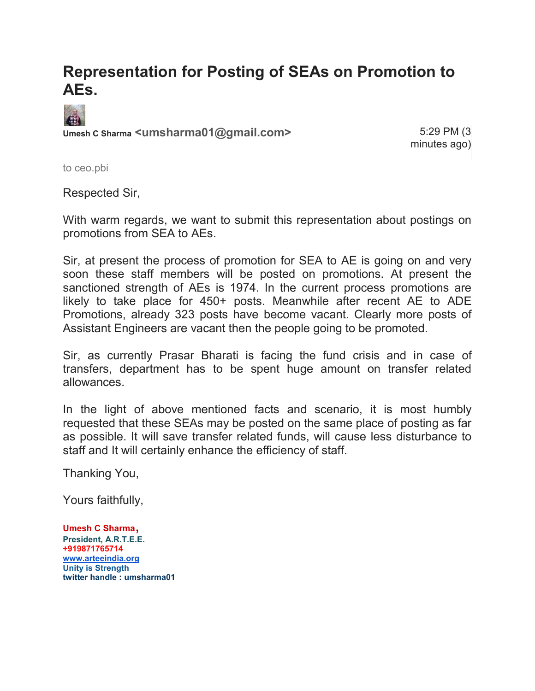## **Representation for Posting of SEAs on Promotion to AEs.**



**Umesh C Sharma <umsharma01@gmail.com>** 5:29 PM (3

minutes ago)

to ceo.pbi

Respected Sir,

With warm regards, we want to submit this representation about postings on promotions from SEA to AEs.

Sir, at present the process of promotion for SEA to AE is going on and very soon these staff members will be posted on promotions. At present the sanctioned strength of AEs is 1974. In the current process promotions are likely to take place for 450+ posts. Meanwhile after recent AE to ADE Promotions, already 323 posts have become vacant. Clearly more posts of Assistant Engineers are vacant then the people going to be promoted.

Sir, as currently Prasar Bharati is facing the fund crisis and in case of transfers, department has to be spent huge amount on transfer related allowances.

In the light of above mentioned facts and scenario, it is most humbly requested that these SEAs may be posted on the same place of posting as far as possible. It will save transfer related funds, will cause less disturbance to staff and It will certainly enhance the efficiency of staff.

Thanking You,

Yours faithfully,

**Umesh C Sharma**, **President, A.R.T.E.E. +919871765714 [www.arteeindia.org](http://www.arteeindia.org/) Unity is Strength twitter handle : umsharma01**